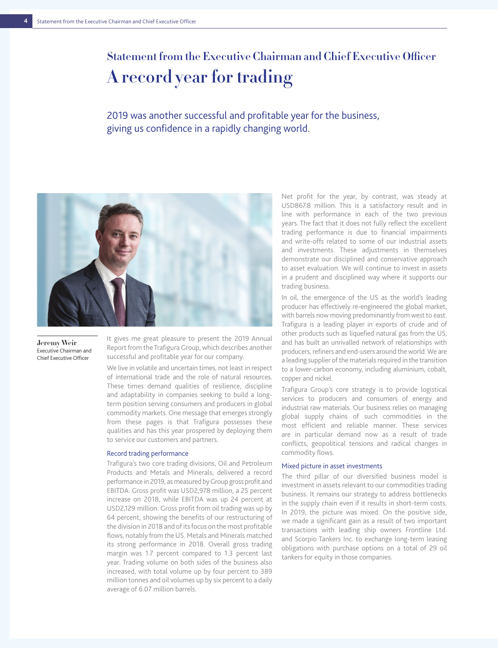# **Statement from the Executive Chairman and Chief Executive Officer A record year for trading**

2019 was another successful and profitable year for the business, giving us confidence in a rapidly changing world.



**Jeremy Weir** Executive Chairman and Chief Executive Officer

It gives me great pleasure to present the 2019 Annual Report from the Trafigura Group, which describes another successful and profitable year for our company.

We live in volatile and uncertain times, not least in respect of international trade and the role of natural resources. These times demand qualities of resilience, discipline and adaptability in companies seeking to build a longterm position serving consumers and producers in global commodity markets. One message that emerges strongly from these pages is that Trafigura possesses these qualities and has this year prospered by deploying them to service our customers and partners.

#### Record trading performance

Trafigura's two core trading divisions, Oil and Petroleum Products and Metals and Minerals, delivered a record performance in 2019, as measured by Group gross profit and EBITDA. Gross profit was USD2,978 million, a 25 percent increase on 2018, while EBITDA was up 24 percent at USD2,129 million. Gross profit from oil trading was up by 64 percent, showing the benefits of our restructuring of the division in 2018 and of its focus on the most profitable flows, notably from the US. Metals and Minerals matched its strong performance in 2018. Overall gross trading margin was 1.7 percent compared to 1.3 percent last year. Trading volume on both sides of the business also increased, with total volume up by four percent to 389 million tonnes and oil volumes up by six percent to a daily average of 6.07 million barrels.

Net profit for the year, by contrast, was steady at USD867.8 million. This is a satisfactory result and in line with performance in each of the two previous years. The fact that it does not fully reflect the excellent trading performance is due to financial impairments and write-offs related to some of our industrial assets and investments. These adjustments in themselves demonstrate our disciplined and conservative approach to asset evaluation. We will continue to invest in assets in a prudent and disciplined way where it supports our trading business.

In oil, the emergence of the US as the world's leading producer has effectively re-engineered the global market, with barrels now moving predominantly from west to east. Trafigura is a leading player in exports of crude and of other products such as liquefied natural gas from the US, and has built an unrivalled network of relationships with producers, refiners and end-users around the world. We are a leading supplier of the materials required in the transition to a lower-carbon economy, including aluminium, cobalt, copper and nickel.

Trafigura Group's core strategy is to provide logistical services to producers and consumers of energy and industrial raw materials. Our business relies on managing global supply chains of such commodities in the most efficient and reliable manner. These services are in particular demand now as a result of trade conflicts, geopolitical tensions and radical changes in commodity flows.

### Mixed picture in asset investments

The third pillar of our diversified business model is investment in assets relevant to our commodities trading business. It remains our strategy to address bottlenecks in the supply chain even if it results in short-term costs. In 2019, the picture was mixed. On the positive side, we made a significant gain as a result of two important transactions with leading ship owners Frontline Ltd. and Scorpio Tankers Inc. to exchange long-term leasing obligations with purchase options on a total of 29 oil tankers for equity in those companies.